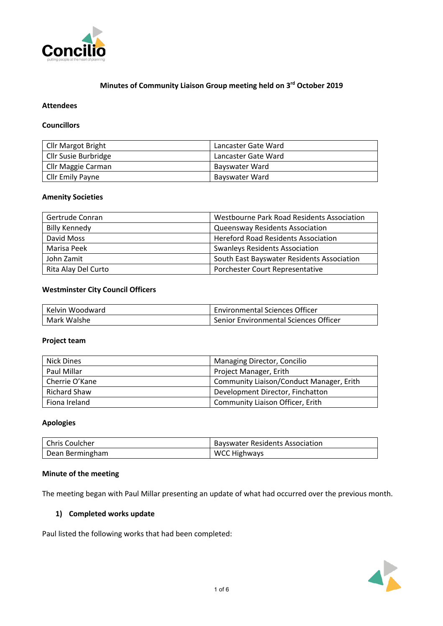

# **Minutes of Community Liaison Group meeting held on 3rd October 2019**

# **Attendees**

#### **Councillors**

| Cllr Margot Bright      | Lancaster Gate Ward |  |  |
|-------------------------|---------------------|--|--|
| Cllr Susie Burbridge    | Lancaster Gate Ward |  |  |
| Cllr Maggie Carman      | Bayswater Ward      |  |  |
| <b>Cllr Emily Payne</b> | Bayswater Ward      |  |  |

#### **Amenity Societies**

| Gertrude Conran      | Westbourne Park Road Residents Association |  |
|----------------------|--------------------------------------------|--|
| <b>Billy Kennedy</b> | <b>Queensway Residents Association</b>     |  |
| David Moss           | <b>Hereford Road Residents Association</b> |  |
| Marisa Peek          | <b>Swanleys Residents Association</b>      |  |
| John Zamit           | South East Bayswater Residents Association |  |
| Rita Alay Del Curto  | Porchester Court Representative            |  |

# **Westminster City Council Officers**

| Kelvin Woodward | <b>Environmental Sciences Officer</b> |  |
|-----------------|---------------------------------------|--|
| Mark Walshe     | Senior Environmental Sciences Officer |  |

#### **Project team**

| <b>Nick Dines</b> | Managing Director, Concilio              |  |
|-------------------|------------------------------------------|--|
| Paul Millar       | Project Manager, Erith                   |  |
| Cherrie O'Kane    | Community Liaison/Conduct Manager, Erith |  |
| Richard Shaw      | Development Director, Finchatton         |  |
| Fiona Ireland     | Community Liaison Officer, Erith         |  |

#### **Apologies**

| l Chris Coulcher | <b>Bayswater Residents Association</b> |  |
|------------------|----------------------------------------|--|
| Dean Bermingham  | <b>WCC Highways</b>                    |  |

#### **Minute of the meeting**

The meeting began with Paul Millar presenting an update of what had occurred over the previous month.

### **1) Completed works update**

Paul listed the following works that had been completed:

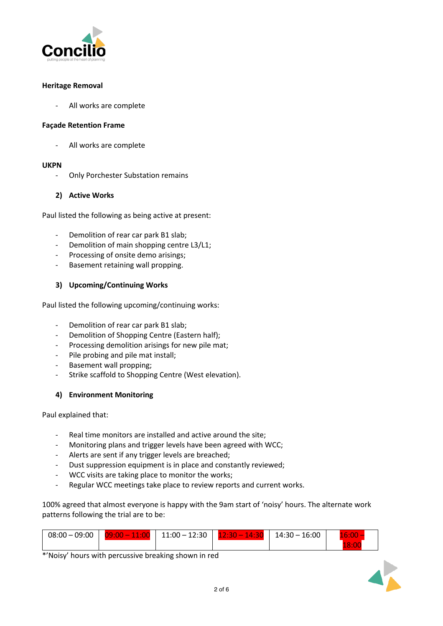

### **Heritage Removal**

- All works are complete

### **Façade Retention Frame**

All works are complete

### **UKPN**

- Only Porchester Substation remains

# **2) Active Works**

Paul listed the following as being active at present:

- Demolition of rear car park B1 slab;
- Demolition of main shopping centre L3/L1;
- Processing of onsite demo arisings;
- Basement retaining wall propping.

# **3) Upcoming/Continuing Works**

Paul listed the following upcoming/continuing works:

- Demolition of rear car park B1 slab;
- Demolition of Shopping Centre (Eastern half);
- Processing demolition arisings for new pile mat;
- Pile probing and pile mat install;
- Basement wall propping;
- Strike scaffold to Shopping Centre (West elevation).

### **4) Environment Monitoring**

Paul explained that:

- Real time monitors are installed and active around the site;
- Monitoring plans and trigger levels have been agreed with WCC;
- Alerts are sent if any trigger levels are breached;
- Dust suppression equipment is in place and constantly reviewed;
- WCC visits are taking place to monitor the works;
- Regular WCC meetings take place to review reports and current works.

100% agreed that almost everyone is happy with the 9am start of 'noisy' hours. The alternate work patterns following the trial are to be:

| $08:00 - 09:00$ | 400<br>w<br>ш<br>$\sim$ | $11:00 - 12:30$ | 70 T<br>:30<br>$-11-$ | 16:00<br>$14:30 -$ | :00  |
|-----------------|-------------------------|-----------------|-----------------------|--------------------|------|
|                 |                         |                 |                       |                    | 8:01 |

\*'Noisy' hours with percussive breaking shown in red

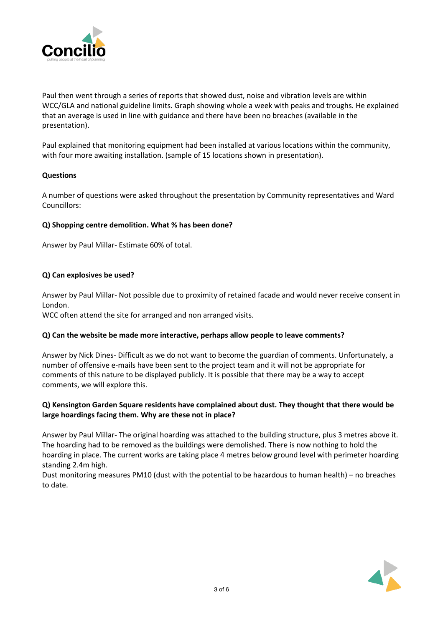

Paul then went through a series of reports that showed dust, noise and vibration levels are within WCC/GLA and national guideline limits. Graph showing whole a week with peaks and troughs. He explained that an average is used in line with guidance and there have been no breaches (available in the presentation).

Paul explained that monitoring equipment had been installed at various locations within the community, with four more awaiting installation. (sample of 15 locations shown in presentation).

### **Questions**

A number of questions were asked throughout the presentation by Community representatives and Ward Councillors:

# **Q) Shopping centre demolition. What % has been done?**

Answer by Paul Millar- Estimate 60% of total.

# **Q) Can explosives be used?**

Answer by Paul Millar- Not possible due to proximity of retained facade and would never receive consent in London.

WCC often attend the site for arranged and non arranged visits.

### **Q) Can the website be made more interactive, perhaps allow people to leave comments?**

Answer by Nick Dines- Difficult as we do not want to become the guardian of comments. Unfortunately, a number of offensive e-mails have been sent to the project team and it will not be appropriate for comments of this nature to be displayed publicly. It is possible that there may be a way to accept comments, we will explore this.

# **Q) Kensington Garden Square residents have complained about dust. They thought that there would be large hoardings facing them. Why are these not in place?**

Answer by Paul Millar- The original hoarding was attached to the building structure, plus 3 metres above it. The hoarding had to be removed as the buildings were demolished. There is now nothing to hold the hoarding in place. The current works are taking place 4 metres below ground level with perimeter hoarding standing 2.4m high.

Dust monitoring measures PM10 (dust with the potential to be hazardous to human health) – no breaches to date.

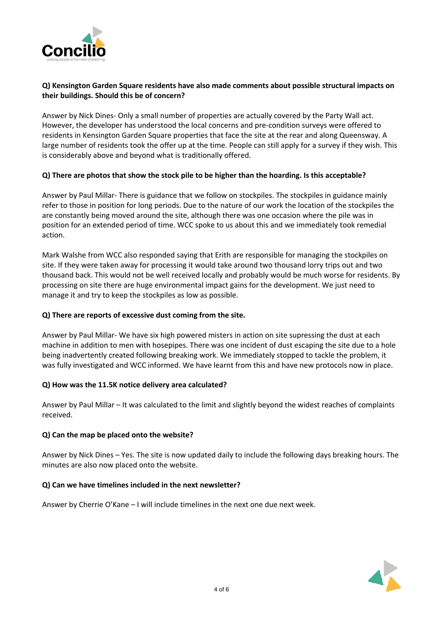

# **Q) Kensington Garden Square residents have also made comments about possible structural impacts on their buildings. Should this be of concern?**

Answer by Nick Dines- Only a small number of properties are actually covered by the Party Wall act. However, the developer has understood the local concerns and pre-condition surveys were offered to residents in Kensington Garden Square properties that face the site at the rear and along Queensway. A large number of residents took the offer up at the time. People can still apply for a survey if they wish. This is considerably above and beyond what is traditionally offered.

# **Q) There are photos that show the stock pile to be higher than the hoarding. Is this acceptable?**

Answer by Paul Millar- There is guidance that we follow on stockpiles. The stockpiles in guidance mainly refer to those in position for long periods. Due to the nature of our work the location of the stockpiles the are constantly being moved around the site, although there was one occasion where the pile was in position for an extended period of time. WCC spoke to us about this and we immediately took remedial action.

Mark Walshe from WCC also responded saying that Erith are responsible for managing the stockpiles on site. If they were taken away for processing it would take around two thousand lorry trips out and two thousand back. This would not be well received locally and probably would be much worse for residents. By processing on site there are huge environmental impact gains for the development. We just need to manage it and try to keep the stockpiles as low as possible.

### **Q) There are reports of excessive dust coming from the site.**

Answer by Paul Millar- We have six high powered misters in action on site supressing the dust at each machine in addition to men with hosepipes. There was one incident of dust escaping the site due to a hole being inadvertently created following breaking work. We immediately stopped to tackle the problem, it was fully investigated and WCC informed. We have learnt from this and have new protocols now in place.

### **Q) How was the 11.5K notice delivery area calculated?**

Answer by Paul Millar – It was calculated to the limit and slightly beyond the widest reaches of complaints received.

### **Q) Can the map be placed onto the website?**

Answer by Nick Dines – Yes. The site is now updated daily to include the following days breaking hours. The minutes are also now placed onto the website.

### **Q) Can we have timelines included in the next newsletter?**

Answer by Cherrie O'Kane – I will include timelines in the next one due next week.

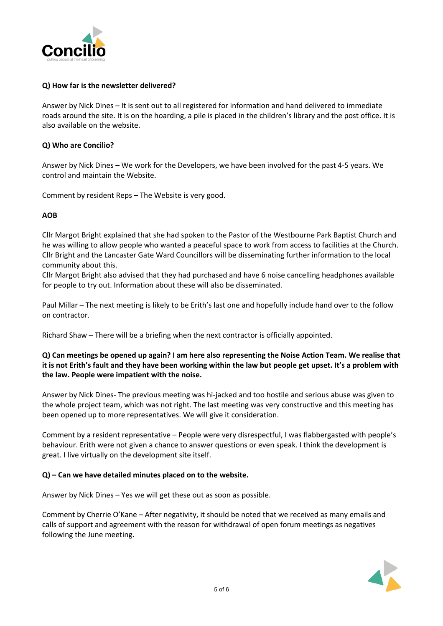

# **Q) How far is the newsletter delivered?**

Answer by Nick Dines – It is sent out to all registered for information and hand delivered to immediate roads around the site. It is on the hoarding, a pile is placed in the children's library and the post office. It is also available on the website.

# **Q) Who are Concilio?**

Answer by Nick Dines – We work for the Developers, we have been involved for the past 4-5 years. We control and maintain the Website.

Comment by resident Reps – The Website is very good.

# **AOB**

Cllr Margot Bright explained that she had spoken to the Pastor of the Westbourne Park Baptist Church and he was willing to allow people who wanted a peaceful space to work from access to facilities at the Church. Cllr Bright and the Lancaster Gate Ward Councillors will be disseminating further information to the local community about this.

Cllr Margot Bright also advised that they had purchased and have 6 noise cancelling headphones available for people to try out. Information about these will also be disseminated.

Paul Millar – The next meeting is likely to be Erith's last one and hopefully include hand over to the follow on contractor.

Richard Shaw – There will be a briefing when the next contractor is officially appointed.

# Q) Can meetings be opened up again? I am here also representing the Noise Action Team. We realise that it is not Erith's fault and they have been working within the law but people get upset. It's a problem with **the law. People were impatient with the noise.**

Answer by Nick Dines- The previous meeting was hi-jacked and too hostile and serious abuse was given to the whole project team, which was not right. The last meeting was very constructive and this meeting has been opened up to more representatives. We will give it consideration.

Comment by a resident representative – People were very disrespectful, I was flabbergasted with people's behaviour. Erith were not given a chance to answer questions or even speak. I think the development is great. I live virtually on the development site itself.

### **Q) – Can we have detailed minutes placed on to the website.**

Answer by Nick Dines – Yes we will get these out as soon as possible.

Comment by Cherrie O'Kane – After negativity, it should be noted that we received as many emails and calls of support and agreement with the reason for withdrawal of open forum meetings as negatives following the June meeting.